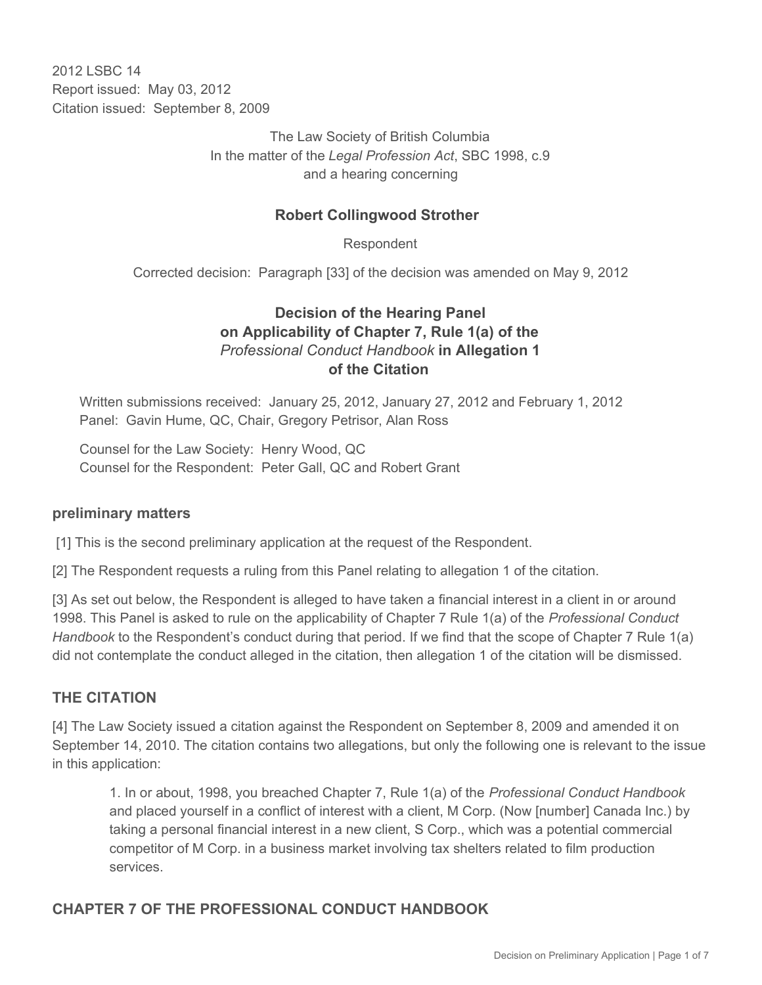2012 LSBC 14 Report issued: May 03, 2012 Citation issued: September 8, 2009

> The Law Society of British Columbia In the matter of the *Legal Profession Act*, SBC 1998, c.9 and a hearing concerning

### **Robert Collingwood Strother**

Respondent

Corrected decision: Paragraph [33] of the decision was amended on May 9, 2012

# **Decision of the Hearing Panel on Applicability of Chapter 7, Rule 1(a) of the** *Professional Conduct Handbook* **in Allegation 1 of the Citation**

Written submissions received: January 25, 2012, January 27, 2012 and February 1, 2012 Panel: Gavin Hume, QC, Chair, Gregory Petrisor, Alan Ross

Counsel for the Law Society: Henry Wood, QC Counsel for the Respondent: Peter Gall, QC and Robert Grant

### **preliminary matters**

[1] This is the second preliminary application at the request of the Respondent.

[2] The Respondent requests a ruling from this Panel relating to allegation 1 of the citation.

[3] As set out below, the Respondent is alleged to have taken a financial interest in a client in or around 1998. This Panel is asked to rule on the applicability of Chapter 7 Rule 1(a) of the *Professional Conduct Handbook* to the Respondent's conduct during that period. If we find that the scope of Chapter 7 Rule 1(a) did not contemplate the conduct alleged in the citation, then allegation 1 of the citation will be dismissed.

### **THE CITATION**

[4] The Law Society issued a citation against the Respondent on September 8, 2009 and amended it on September 14, 2010. The citation contains two allegations, but only the following one is relevant to the issue in this application:

1. In or about, 1998, you breached Chapter 7, Rule 1(a) of the *Professional Conduct Handbook* and placed yourself in a conflict of interest with a client, M Corp. (Now [number] Canada Inc.) by taking a personal financial interest in a new client, S Corp., which was a potential commercial competitor of M Corp. in a business market involving tax shelters related to film production services.

## **CHAPTER 7 OF THE PROFESSIONAL CONDUCT HANDBOOK**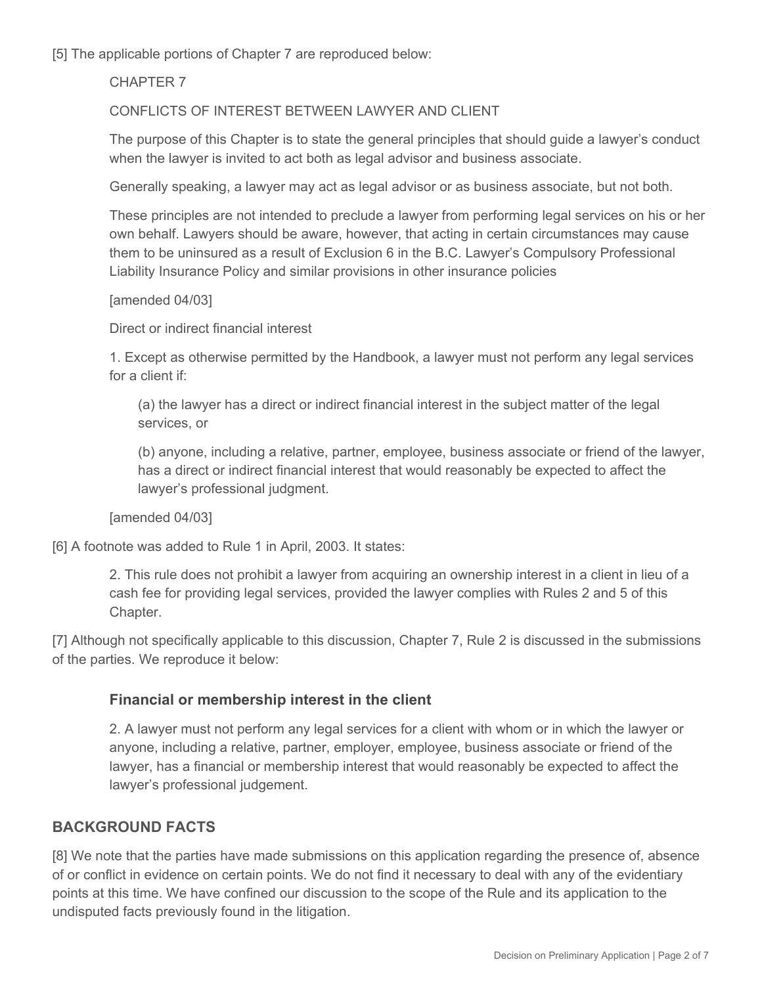[5] The applicable portions of Chapter 7 are reproduced below:

CHAPTER 7

CONFLICTS OF INTEREST BETWEEN LAWYER AND CLIENT

The purpose of this Chapter is to state the general principles that should guide a lawyer's conduct when the lawyer is invited to act both as legal advisor and business associate.

Generally speaking, a lawyer may act as legal advisor or as business associate, but not both.

These principles are not intended to preclude a lawyer from performing legal services on his or her own behalf. Lawyers should be aware, however, that acting in certain circumstances may cause them to be uninsured as a result of Exclusion 6 in the B.C. Lawyer's Compulsory Professional Liability Insurance Policy and similar provisions in other insurance policies

#### [amended 04/03]

Direct or indirect financial interest

1. Except as otherwise permitted by the Handbook, a lawyer must not perform any legal services for a client if:

(a) the lawyer has a direct or indirect financial interest in the subject matter of the legal services, or

(b) anyone, including a relative, partner, employee, business associate or friend of the lawyer, has a direct or indirect financial interest that would reasonably be expected to affect the lawyer's professional judgment.

[amended 04/03]

[6] A footnote was added to Rule 1 in April, 2003. It states:

2. This rule does not prohibit a lawyer from acquiring an ownership interest in a client in lieu of a cash fee for providing legal services, provided the lawyer complies with Rules 2 and 5 of this Chapter.

[7] Although not specifically applicable to this discussion, Chapter 7, Rule 2 is discussed in the submissions of the parties. We reproduce it below:

### **Financial or membership interest in the client**

2. A lawyer must not perform any legal services for a client with whom or in which the lawyer or anyone, including a relative, partner, employer, employee, business associate or friend of the lawyer, has a financial or membership interest that would reasonably be expected to affect the lawyer's professional judgement.

## **BACKGROUND FACTS**

[8] We note that the parties have made submissions on this application regarding the presence of, absence of or conflict in evidence on certain points. We do not find it necessary to deal with any of the evidentiary points at this time. We have confined our discussion to the scope of the Rule and its application to the undisputed facts previously found in the litigation.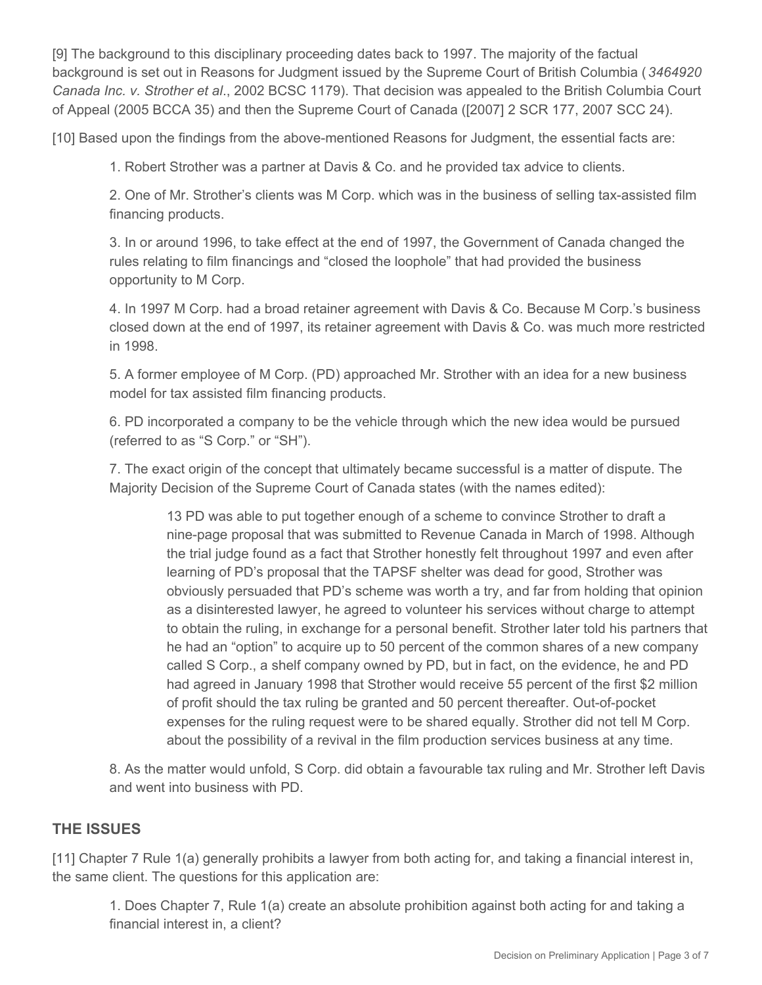[9] The background to this disciplinary proceeding dates back to 1997. The majority of the factual background is set out in Reasons for Judgment issued by the Supreme Court of British Columbia (*3464920 Canada Inc. v. Strother et al*., 2002 BCSC 1179). That decision was appealed to the British Columbia Court of Appeal (2005 BCCA 35) and then the Supreme Court of Canada ([2007] 2 SCR 177, 2007 SCC 24).

[10] Based upon the findings from the above-mentioned Reasons for Judgment, the essential facts are:

1. Robert Strother was a partner at Davis & Co. and he provided tax advice to clients.

2. One of Mr. Strother's clients was M Corp. which was in the business of selling tax-assisted film financing products.

3. In or around 1996, to take effect at the end of 1997, the Government of Canada changed the rules relating to film financings and "closed the loophole" that had provided the business opportunity to M Corp.

4. In 1997 M Corp. had a broad retainer agreement with Davis & Co. Because M Corp.'s business closed down at the end of 1997, its retainer agreement with Davis & Co. was much more restricted in 1998.

5. A former employee of M Corp. (PD) approached Mr. Strother with an idea for a new business model for tax assisted film financing products.

6. PD incorporated a company to be the vehicle through which the new idea would be pursued (referred to as "S Corp." or "SH").

7. The exact origin of the concept that ultimately became successful is a matter of dispute. The Majority Decision of the Supreme Court of Canada states (with the names edited):

13 PD was able to put together enough of a scheme to convince Strother to draft a nine-page proposal that was submitted to Revenue Canada in March of 1998. Although the trial judge found as a fact that Strother honestly felt throughout 1997 and even after learning of PD's proposal that the TAPSF shelter was dead for good, Strother was obviously persuaded that PD's scheme was worth a try, and far from holding that opinion as a disinterested lawyer, he agreed to volunteer his services without charge to attempt to obtain the ruling, in exchange for a personal benefit. Strother later told his partners that he had an "option" to acquire up to 50 percent of the common shares of a new company called S Corp., a shelf company owned by PD, but in fact, on the evidence, he and PD had agreed in January 1998 that Strother would receive 55 percent of the first \$2 million of profit should the tax ruling be granted and 50 percent thereafter. Out-of-pocket expenses for the ruling request were to be shared equally. Strother did not tell M Corp. about the possibility of a revival in the film production services business at any time.

8. As the matter would unfold, S Corp. did obtain a favourable tax ruling and Mr. Strother left Davis and went into business with PD.

### **THE ISSUES**

[11] Chapter 7 Rule 1(a) generally prohibits a lawyer from both acting for, and taking a financial interest in, the same client. The questions for this application are:

1. Does Chapter 7, Rule 1(a) create an absolute prohibition against both acting for and taking a financial interest in, a client?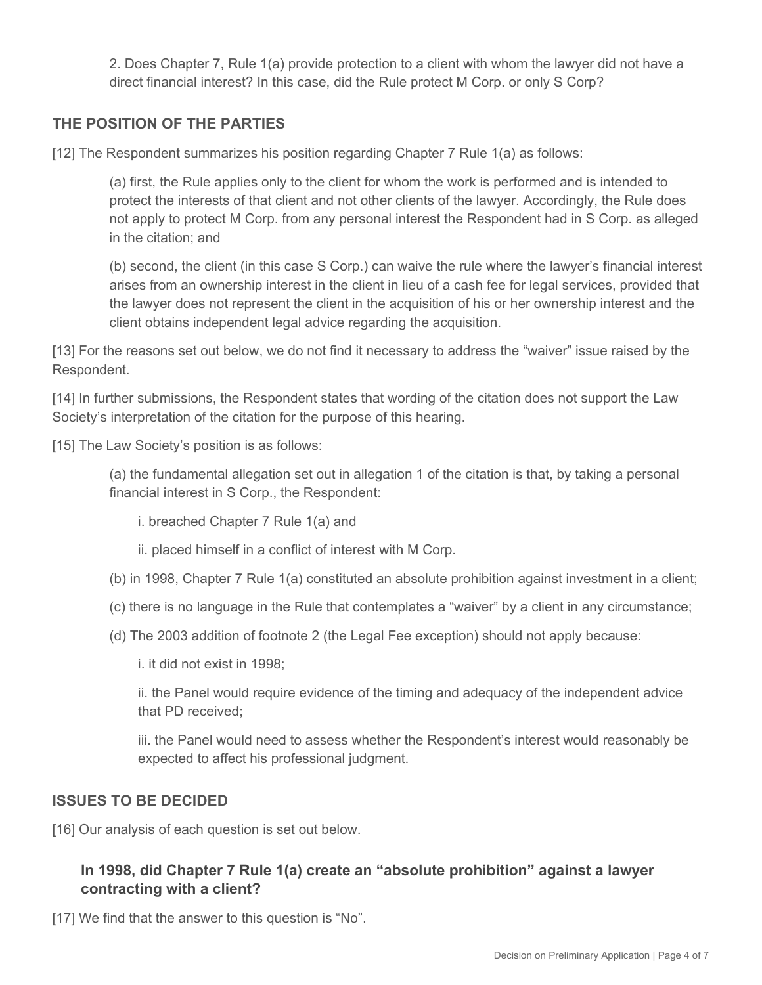2. Does Chapter 7, Rule 1(a) provide protection to a client with whom the lawyer did not have a direct financial interest? In this case, did the Rule protect M Corp. or only S Corp?

## **THE POSITION OF THE PARTIES**

[12] The Respondent summarizes his position regarding Chapter 7 Rule 1(a) as follows:

(a) first, the Rule applies only to the client for whom the work is performed and is intended to protect the interests of that client and not other clients of the lawyer. Accordingly, the Rule does not apply to protect M Corp. from any personal interest the Respondent had in S Corp. as alleged in the citation; and

(b) second, the client (in this case S Corp.) can waive the rule where the lawyer's financial interest arises from an ownership interest in the client in lieu of a cash fee for legal services, provided that the lawyer does not represent the client in the acquisition of his or her ownership interest and the client obtains independent legal advice regarding the acquisition.

[13] For the reasons set out below, we do not find it necessary to address the "waiver" issue raised by the Respondent.

[14] In further submissions, the Respondent states that wording of the citation does not support the Law Society's interpretation of the citation for the purpose of this hearing.

[15] The Law Society's position is as follows:

(a) the fundamental allegation set out in allegation 1 of the citation is that, by taking a personal financial interest in S Corp., the Respondent:

i. breached Chapter 7 Rule 1(a) and

ii. placed himself in a conflict of interest with M Corp.

- (b) in 1998, Chapter 7 Rule 1(a) constituted an absolute prohibition against investment in a client;
- (c) there is no language in the Rule that contemplates a "waiver" by a client in any circumstance;
- (d) The 2003 addition of footnote 2 (the Legal Fee exception) should not apply because:

i. it did not exist in 1998;

ii. the Panel would require evidence of the timing and adequacy of the independent advice that PD received;

iii. the Panel would need to assess whether the Respondent's interest would reasonably be expected to affect his professional judgment.

### **ISSUES TO BE DECIDED**

[16] Our analysis of each question is set out below.

# **In 1998, did Chapter 7 Rule 1(a) create an "absolute prohibition" against a lawyer contracting with a client?**

[17] We find that the answer to this question is "No".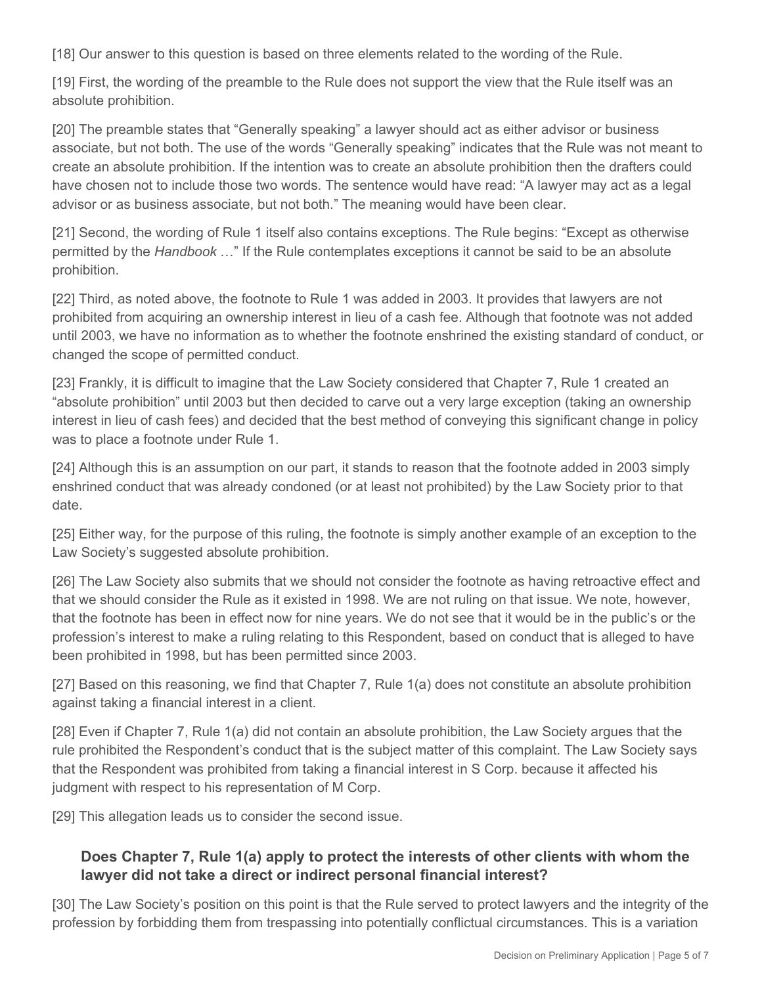[18] Our answer to this question is based on three elements related to the wording of the Rule.

[19] First, the wording of the preamble to the Rule does not support the view that the Rule itself was an absolute prohibition.

[20] The preamble states that "Generally speaking" a lawyer should act as either advisor or business associate, but not both. The use of the words "Generally speaking" indicates that the Rule was not meant to create an absolute prohibition. If the intention was to create an absolute prohibition then the drafters could have chosen not to include those two words. The sentence would have read: "A lawyer may act as a legal advisor or as business associate, but not both." The meaning would have been clear.

[21] Second, the wording of Rule 1 itself also contains exceptions. The Rule begins: "Except as otherwise permitted by the *Handbook* …" If the Rule contemplates exceptions it cannot be said to be an absolute prohibition.

[22] Third, as noted above, the footnote to Rule 1 was added in 2003. It provides that lawyers are not prohibited from acquiring an ownership interest in lieu of a cash fee. Although that footnote was not added until 2003, we have no information as to whether the footnote enshrined the existing standard of conduct, or changed the scope of permitted conduct.

[23] Frankly, it is difficult to imagine that the Law Society considered that Chapter 7, Rule 1 created an "absolute prohibition" until 2003 but then decided to carve out a very large exception (taking an ownership interest in lieu of cash fees) and decided that the best method of conveying this significant change in policy was to place a footnote under Rule 1.

[24] Although this is an assumption on our part, it stands to reason that the footnote added in 2003 simply enshrined conduct that was already condoned (or at least not prohibited) by the Law Society prior to that date.

[25] Either way, for the purpose of this ruling, the footnote is simply another example of an exception to the Law Society's suggested absolute prohibition.

[26] The Law Society also submits that we should not consider the footnote as having retroactive effect and that we should consider the Rule as it existed in 1998. We are not ruling on that issue. We note, however, that the footnote has been in effect now for nine years. We do not see that it would be in the public's or the profession's interest to make a ruling relating to this Respondent, based on conduct that is alleged to have been prohibited in 1998, but has been permitted since 2003.

[27] Based on this reasoning, we find that Chapter 7, Rule 1(a) does not constitute an absolute prohibition against taking a financial interest in a client.

[28] Even if Chapter 7, Rule 1(a) did not contain an absolute prohibition, the Law Society argues that the rule prohibited the Respondent's conduct that is the subject matter of this complaint. The Law Society says that the Respondent was prohibited from taking a financial interest in S Corp. because it affected his judgment with respect to his representation of M Corp.

[29] This allegation leads us to consider the second issue.

# **Does Chapter 7, Rule 1(a) apply to protect the interests of other clients with whom the lawyer did not take a direct or indirect personal financial interest?**

[30] The Law Society's position on this point is that the Rule served to protect lawyers and the integrity of the profession by forbidding them from trespassing into potentially conflictual circumstances. This is a variation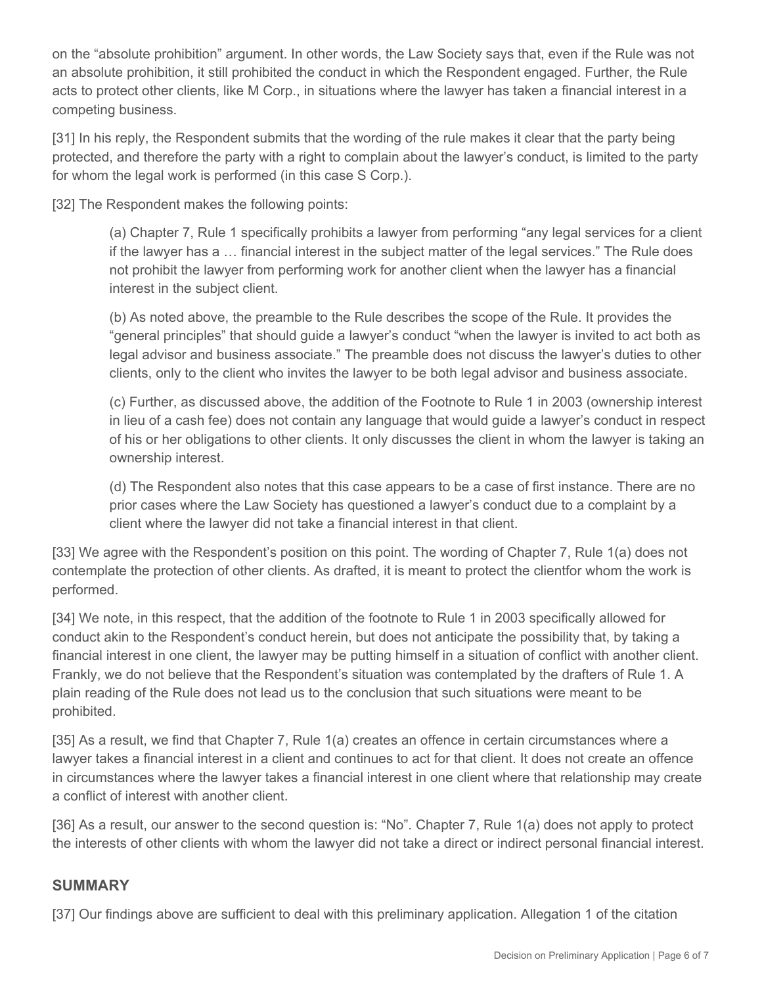on the "absolute prohibition" argument. In other words, the Law Society says that, even if the Rule was not an absolute prohibition, it still prohibited the conduct in which the Respondent engaged. Further, the Rule acts to protect other clients, like M Corp., in situations where the lawyer has taken a financial interest in a competing business.

[31] In his reply, the Respondent submits that the wording of the rule makes it clear that the party being protected, and therefore the party with a right to complain about the lawyer's conduct, is limited to the party for whom the legal work is performed (in this case S Corp.).

[32] The Respondent makes the following points:

(a) Chapter 7, Rule 1 specifically prohibits a lawyer from performing "any legal services for a client if the lawyer has a … financial interest in the subject matter of the legal services." The Rule does not prohibit the lawyer from performing work for another client when the lawyer has a financial interest in the subject client.

(b) As noted above, the preamble to the Rule describes the scope of the Rule. It provides the "general principles" that should guide a lawyer's conduct "when the lawyer is invited to act both as legal advisor and business associate." The preamble does not discuss the lawyer's duties to other clients, only to the client who invites the lawyer to be both legal advisor and business associate.

(c) Further, as discussed above, the addition of the Footnote to Rule 1 in 2003 (ownership interest in lieu of a cash fee) does not contain any language that would guide a lawyer's conduct in respect of his or her obligations to other clients. It only discusses the client in whom the lawyer is taking an ownership interest.

(d) The Respondent also notes that this case appears to be a case of first instance. There are no prior cases where the Law Society has questioned a lawyer's conduct due to a complaint by a client where the lawyer did not take a financial interest in that client.

[33] We agree with the Respondent's position on this point. The wording of Chapter 7, Rule 1(a) does not contemplate the protection of other clients. As drafted, it is meant to protect the clientfor whom the work is performed.

[34] We note, in this respect, that the addition of the footnote to Rule 1 in 2003 specifically allowed for conduct akin to the Respondent's conduct herein, but does not anticipate the possibility that, by taking a financial interest in one client, the lawyer may be putting himself in a situation of conflict with another client. Frankly, we do not believe that the Respondent's situation was contemplated by the drafters of Rule 1. A plain reading of the Rule does not lead us to the conclusion that such situations were meant to be prohibited.

[35] As a result, we find that Chapter 7, Rule 1(a) creates an offence in certain circumstances where a lawyer takes a financial interest in a client and continues to act for that client. It does not create an offence in circumstances where the lawyer takes a financial interest in one client where that relationship may create a conflict of interest with another client.

[36] As a result, our answer to the second question is: "No". Chapter 7, Rule 1(a) does not apply to protect the interests of other clients with whom the lawyer did not take a direct or indirect personal financial interest.

## **SUMMARY**

[37] Our findings above are sufficient to deal with this preliminary application. Allegation 1 of the citation